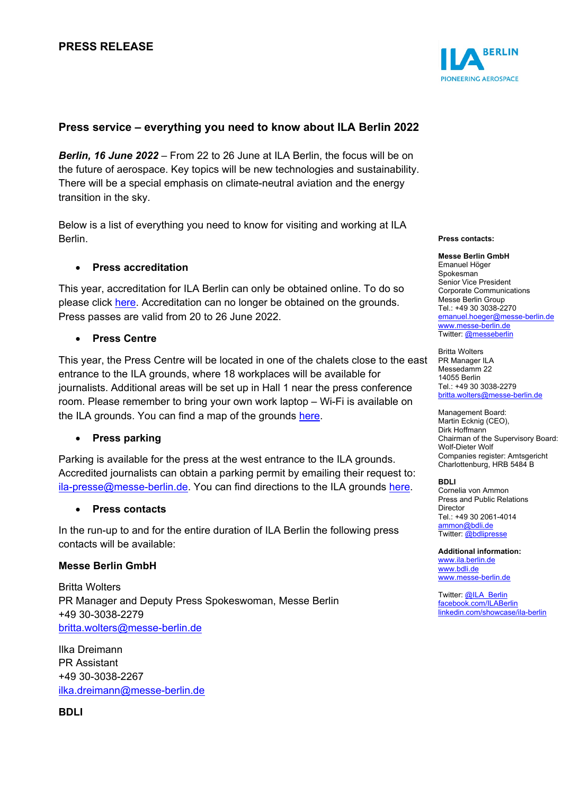# **Press service – everything you need to know about ILA Berlin 2022**

*Berlin, 16 June 2022* – From 22 to 26 June at ILA Berlin, the focus will be on the future of aerospace. Key topics will be new technologies and sustainability. There will be a special emphasis on climate-neutral aviation and the energy transition in the sky.

Below is a list of everything you need to know for visiting and working at ILA Berlin.

# • **Press accreditation**

This year, accreditation for ILA Berlin can only be obtained online. To do so please click [here.](https://www.ila-berlin.de/en) Accreditation can no longer be obtained on the grounds. Press passes are valid from 20 to 26 June 2022.

# • **Press Centre**

This year, the Press Centre will be located in one of the chalets close to the east entrance to the ILA grounds, where 18 workplaces will be available for journalists. Additional areas will be set up in Hall 1 near the press conference room. Please remember to bring your own work laptop – Wi-Fi is available on the ILA grounds. You can find a map of the grounds [here.](https://www.ila-berlin.de/en/media/1613)

# • **Press parking**

Parking is available for the press at the west entrance to the ILA grounds. Accredited journalists can obtain a parking permit by emailing their request to: [ila-presse@messe-berlin.de.](mailto:ila-presse@messe-berlin.de) You can find directions to the ILA grounds [here.](https://www.ila-berlin.de/sites/default/files/2022-06/ILA22_IhrWegzurILA_en_0.pdf)

### • **Press contacts**

In the run-up to and for the entire duration of ILA Berlin the following press contacts will be available:

### **Messe Berlin GmbH**

Britta Wolters PR Manager and Deputy Press Spokeswoman, Messe Berlin +49 30-3038-2279 [britta.wolters@messe-berlin.de](mailto:britta.wolters@messe-berlin.de)

Ilka Dreimann PR Assistant +49 30-3038-2267 [ilka.dreimann@messe-berlin.de](mailto:ilka.dreimann@messe-berlin.de)

**BDLI**



#### **Press contacts:**

**Messe Berlin GmbH** Emanuel Höger Spokesman Senior Vice President Corporate Communications Messe Berlin Group Tel.: +49 30 3038-2270 [emanuel.hoeger@messe-berlin.de](mailto:emanuel.hoeger@messe-berlin.de) [www.messe-berlin.de](http://www.messe-berlin.de/)

Britta Wolters PR Manager ILA Messedamm 22 14055 Berlin Tel.: +49 30 3038-2279 [britta.wolters@messe-berlin.de](mailto:britta.wolters@messe-berlin.de)

Twitter: [@messeberlin](https://twitter.com/messeberlin)

Management Board: Martin Ecknig (CEO), Dirk Hoffmann Chairman of the Supervisory Board: Wolf-Dieter Wolf Companies register: Amtsgericht Charlottenburg, HRB 5484 B

#### **BDLI**

Cornelia von Ammon Press and Public Relations Director Tel.: +49 30 2061-4014 [ammon@bdli.de](mailto:ammon@bdli.de) Twitter: [@bdlipresse](https://twitter.com/bdlipresse?lang=de)

**Additional information:** [www.ila.berlin.de](http://www.ila.berlin.de/) [www.bdli.de](http://www.bdli.de/) [www.messe-berlin.de](http://www.messe-berlin.de/)

Twitter: [@ILA\\_Berlin](https://twitter.com/ila_berlin?lang=de) [facebook.com/ILABerlin](file:///C:%5CUsers%5CWoiton.Sandra%5CAppData%5CLocal%5CMicrosoft%5CWindows%5Cammon%5CAppData%5CLocal%5CUsers%5CFrankeC%5CAppData%5CLocal%5CMicrosoft%5CWindows%5CINetCache%5CContent.Outlook%5CAppData%5CLocal%5CMicrosoft%5CWindows%5CINetCache%5CContent.Outlook%5CAppData%5CLocal%5CMicrosoft%5CWindows%5CINetCache%5CContent.Outlook%5CNIXZO984%5Cfacebook.com%5CILABerlin%0bhttps:%5Cwww.linkedin.com%5Cshowcase%5Cila-berlin) [linkedin.com/showcase/ila-berlin](https://www.linkedin.com/showcase/ila-berlin)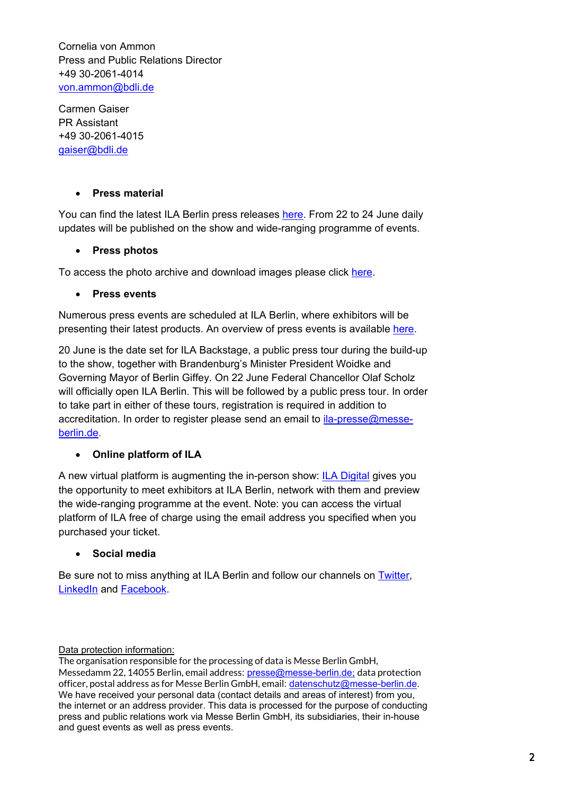Cornelia von Ammon Press and Public Relations Director +49 30-2061-4014 [von.ammon@bdli.de](mailto:von.ammon@bdli.de)

Carmen Gaiser PR Assistant +49 30-2061-4015 [gaiser@bdli.de](mailto:gaiser@bdli.de)

# • **Press material**

You can find the latest ILA Berlin press releases [here.](https://www.ila-berlin.de/en/media) From 22 to 24 June daily updates will be published on the show and wide-ranging programme of events.

# • **Press photos**

To access the photo archive and download images please click [here.](https://press.messe-berlin.de/fotoweb/archives/5031-ILA-Fotoarchiv/)

# • **Press events**

Numerous press events are scheduled at ILA Berlin, where exhibitors will be presenting their latest products. An overview of press events is available [here.](https://www.ila-berlin.de/en/press/press-dates)

20 June is the date set for ILA Backstage, a public press tour during the build-up to the show, together with Brandenburg's Minister President Woidke and Governing Mayor of Berlin Giffey. On 22 June Federal Chancellor Olaf Scholz will officially open ILA Berlin. This will be followed by a public press tour. In order to take part in either of these tours, registration is required in addition to accreditation. In order to register please send an email to [ila-presse@messe](mailto:ila-presse@messe-berlin.de)[berlin.de.](mailto:ila-presse@messe-berlin.de)

# • **Online platform of ILA**

A new virtual platform is augmenting the in-person show: [ILA Digital](https://digital.ila-berlin.de/) gives you the opportunity to meet exhibitors at ILA Berlin, network with them and preview the wide-ranging programme at the event. Note: you can access the virtual platform of ILA free of charge using the email address you specified when you purchased your ticket.

# • **Social media**

Be sure not to miss anything at ILA Berlin and follow our channels on [Twitter,](https://twitter.com/ILA_Berlin) [LinkedIn](https://www.linkedin.com/showcase/ila-berlin/) and [Facebook.](https://www.facebook.com/ILABerlin)

Data protection information:

The organisation responsible for the processing of data is Messe Berlin GmbH, Messedamm 22, 14055 Berlin, email address: [presse@messe-berlin.de](mailto:presse@messe-berlin.de); data protection officer, postal address as for Messe Berlin GmbH, email: [datenschutz@messe-berlin.de.](mailto:datenschutz@messe-berlin.de) We have received your personal data (contact details and areas of interest) from you, the internet or an address provider. This data is processed for the purpose of conducting press and public relations work via Messe Berlin GmbH, its subsidiaries, their in-house and guest events as well as press events.